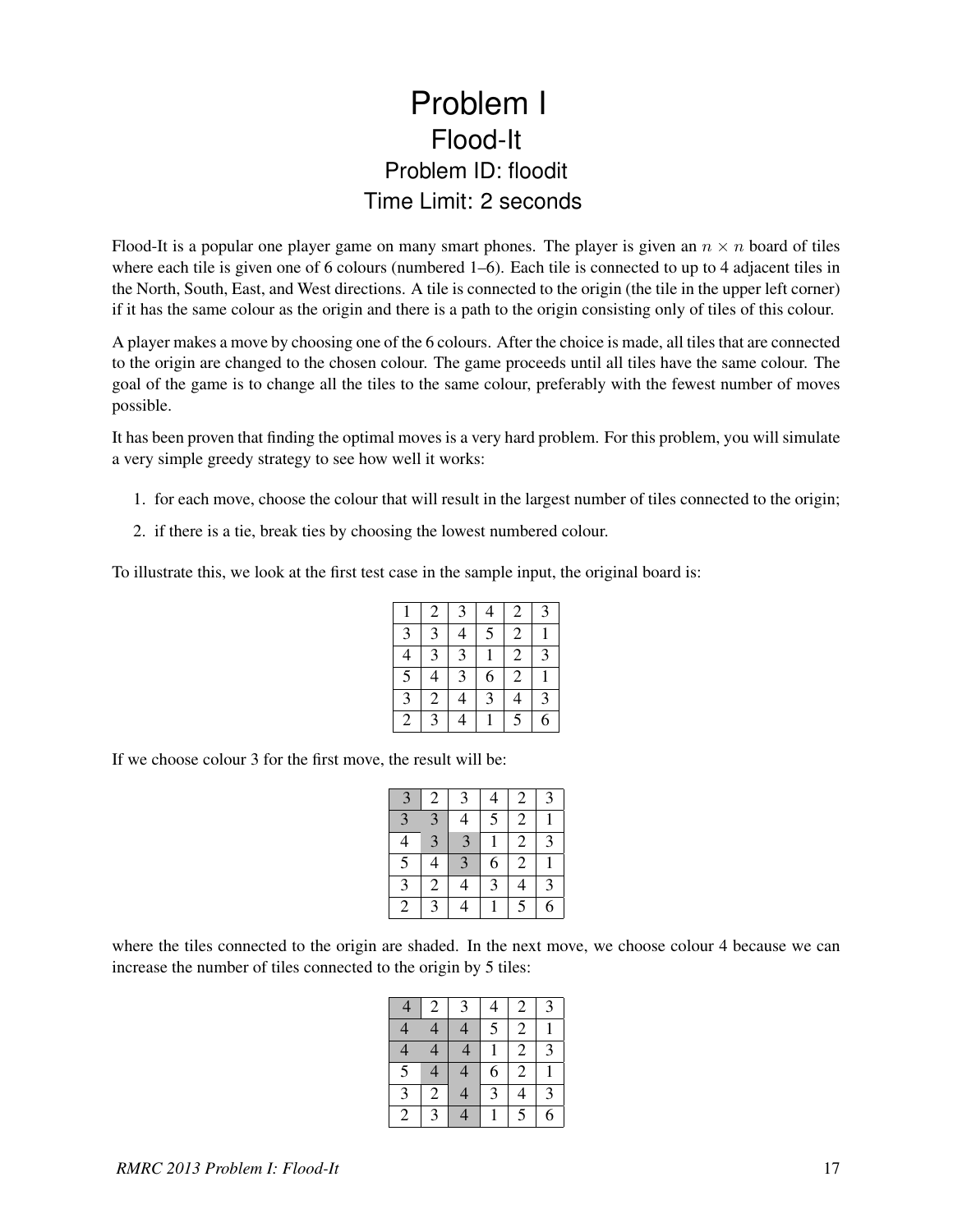## Problem I Flood-It Problem ID: floodit Time Limit: 2 seconds

Flood-It is a popular one player game on many smart phones. The player is given an  $n \times n$  board of tiles where each tile is given one of 6 colours (numbered 1–6). Each tile is connected to up to 4 adjacent tiles in the North, South, East, and West directions. A tile is connected to the origin (the tile in the upper left corner) if it has the same colour as the origin and there is a path to the origin consisting only of tiles of this colour.

A player makes a move by choosing one of the 6 colours. After the choice is made, all tiles that are connected to the origin are changed to the chosen colour. The game proceeds until all tiles have the same colour. The goal of the game is to change all the tiles to the same colour, preferably with the fewest number of moves possible.

It has been proven that finding the optimal moves is a very hard problem. For this problem, you will simulate a very simple greedy strategy to see how well it works:

- 1. for each move, choose the colour that will result in the largest number of tiles connected to the origin;
- 2. if there is a tie, break ties by choosing the lowest numbered colour.

To illustrate this, we look at the first test case in the sample input, the original board is:

|                | 2              | 3              | 4              | $\mathfrak{2}$ | 3 |
|----------------|----------------|----------------|----------------|----------------|---|
| 3              | 3              | 4              | $\overline{5}$ | $\overline{2}$ |   |
| 4              | 3              | 3              |                | $\overline{c}$ | 3 |
| $\overline{5}$ | 4              | 3              | 6              | $\overline{c}$ |   |
| $\overline{3}$ | $\overline{2}$ | $\overline{4}$ | 3              | 4              | 3 |
| 2              | $\overline{3}$ | 4              |                | $\overline{5}$ | 6 |

If we choose colour 3 for the first move, the result will be:

| 3                       | $\overline{\mathbf{c}}$ | 3              |                | $\overline{c}$   | 3              |
|-------------------------|-------------------------|----------------|----------------|------------------|----------------|
| $\overline{\mathbf{3}}$ | 3                       | 4              | $\overline{5}$ | $\boldsymbol{2}$ |                |
| 4                       | $\overline{3}$          | $\overline{3}$ |                | $\overline{2}$   | $\overline{3}$ |
| $\overline{5}$          | 4                       | 3              | 6              | $\overline{2}$   |                |
| $\mathfrak{Z}$          | $\boldsymbol{2}$        | 4              | 3              | 4                | 3              |
| $\overline{2}$          | 3                       |                |                | $\overline{5}$   | 6              |

where the tiles connected to the origin are shaded. In the next move, we choose colour 4 because we can increase the number of tiles connected to the origin by 5 tiles:

|                | $\mathcal{D}_{\cdot}$ | 3 |   | 2              | $\mathcal{R}$ |
|----------------|-----------------------|---|---|----------------|---------------|
|                | 4                     | 4 | 5 | 2              |               |
|                | 4                     | 4 |   | $\overline{2}$ | $\mathbf 3$   |
| $\overline{5}$ | 4                     | 4 | 6 | 2              |               |
| κ              | $\mathcal{D}_{\cdot}$ |   | 3 | 4              | $\mathbf{z}$  |
| $\mathbf{2}$   |                       |   |   | 5              | 6             |